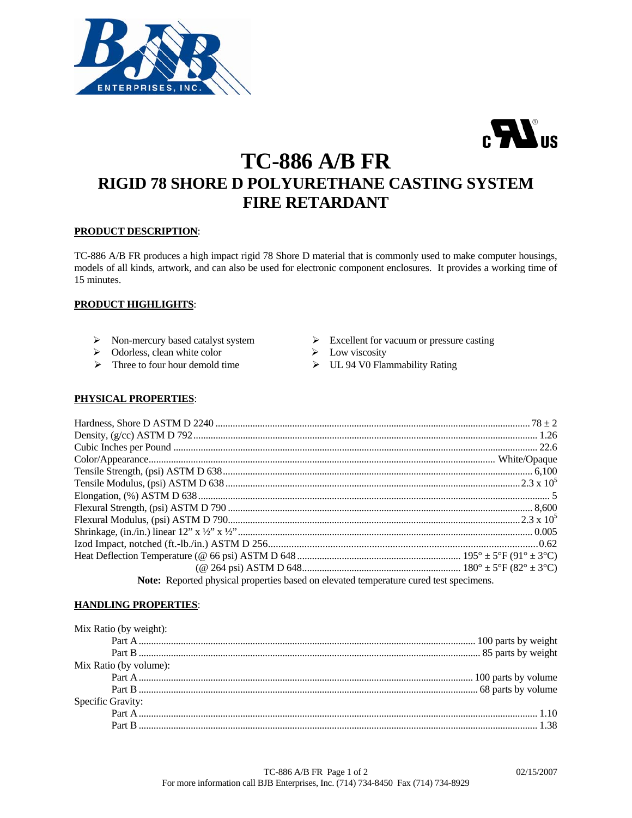



# **TC-886 A/B FR RIGID 78 SHORE D POLYURETHANE CASTING SYSTEM FIRE RETARDANT**

# **PRODUCT DESCRIPTION**:

TC-886 A/B FR produces a high impact rigid 78 Shore D material that is commonly used to make computer housings, models of all kinds, artwork, and can also be used for electronic component enclosures. It provides a working time of 15 minutes.

# **PRODUCT HIGHLIGHTS**:

- 
- → Odorless, clean white color → Low viscosity<br>
→ Three to four hour demold time → UL 94 V0 Flar
- 
- ¾ Non-mercury based catalyst system ¾ Excellent for vacuum or pressure casting
	-
	- $\triangleright$  UL 94 V0 Flammability Rating

# **PHYSICAL PROPERTIES**:

| Note: Reported physical properties based on elevated temperature cured test specimens. |  |  |
|----------------------------------------------------------------------------------------|--|--|

# **HANDLING PROPERTIES**:

| Mix Ratio (by weight): |  |
|------------------------|--|
|                        |  |
|                        |  |
| Mix Ratio (by volume): |  |
|                        |  |
|                        |  |
| Specific Gravity:      |  |
|                        |  |
|                        |  |